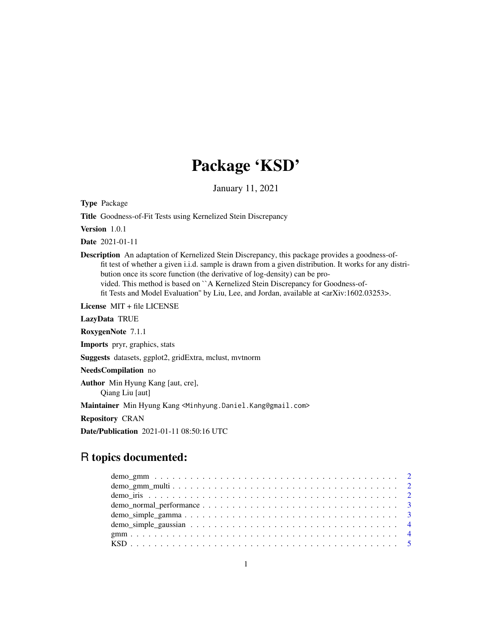## Package 'KSD'

January 11, 2021

Type Package

Title Goodness-of-Fit Tests using Kernelized Stein Discrepancy

Version 1.0.1

Date 2021-01-11

Description An adaptation of Kernelized Stein Discrepancy, this package provides a goodness-offit test of whether a given i.i.d. sample is drawn from a given distribution. It works for any distribution once its score function (the derivative of log-density) can be provided. This method is based on ``A Kernelized Stein Discrepancy for Goodness-offit Tests and Model Evaluation" by Liu, Lee, and Jordan, available at  $\langle \langle \ar{Xiv:1602.03253}\rangle$ .

License MIT + file LICENSE

LazyData TRUE

RoxygenNote 7.1.1

Imports pryr, graphics, stats

Suggests datasets, ggplot2, gridExtra, mclust, mvtnorm

NeedsCompilation no

Author Min Hyung Kang [aut, cre], Qiang Liu [aut]

Maintainer Min Hyung Kang <Minhyung.Daniel.Kang@gmail.com>

Repository CRAN

Date/Publication 2021-01-11 08:50:16 UTC

### R topics documented: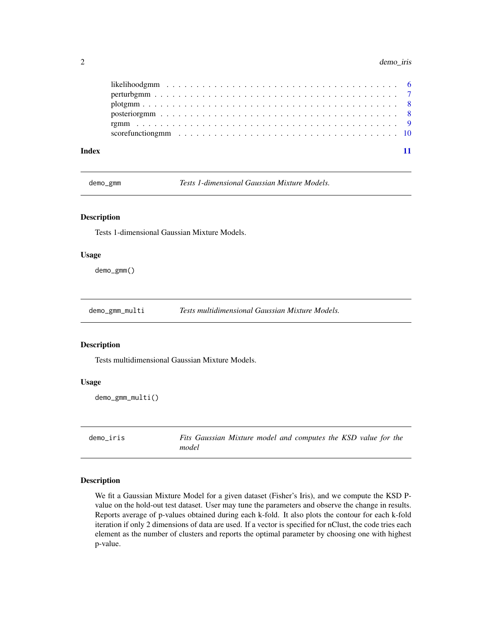<span id="page-1-0"></span>

|       |  |  | likelihoodgmm $\ldots \ldots \ldots \ldots \ldots \ldots \ldots \ldots \ldots \ldots \ldots \ldots$     |  |
|-------|--|--|---------------------------------------------------------------------------------------------------------|--|
|       |  |  |                                                                                                         |  |
|       |  |  | $plotgmm$                                                                                               |  |
|       |  |  |                                                                                                         |  |
|       |  |  |                                                                                                         |  |
|       |  |  | scorefunctiong mm $\ldots \ldots \ldots \ldots \ldots \ldots \ldots \ldots \ldots \ldots \ldots \ldots$ |  |
|       |  |  |                                                                                                         |  |
| Index |  |  |                                                                                                         |  |

demo\_gmm *Tests 1-dimensional Gaussian Mixture Models.*

#### Description

Tests 1-dimensional Gaussian Mixture Models.

#### Usage

demo\_gmm()

demo\_gmm\_multi *Tests multidimensional Gaussian Mixture Models.*

#### Description

Tests multidimensional Gaussian Mixture Models.

#### Usage

```
demo_gmm_multi()
```
demo\_iris *Fits Gaussian Mixture model and computes the KSD value for the model*

#### Description

We fit a Gaussian Mixture Model for a given dataset (Fisher's Iris), and we compute the KSD Pvalue on the hold-out test dataset. User may tune the parameters and observe the change in results. Reports average of p-values obtained during each k-fold. It also plots the contour for each k-fold iteration if only 2 dimensions of data are used. If a vector is specified for nClust, the code tries each element as the number of clusters and reports the optimal parameter by choosing one with highest p-value.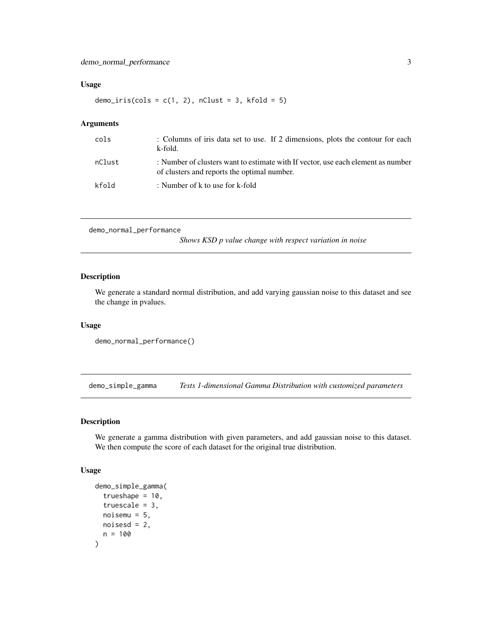#### <span id="page-2-0"></span>Usage

demo\_iris(cols =  $c(1, 2)$ , nClust = 3, kfold = 5)

#### Arguments

| cols   | : Columns of iris data set to use. If 2 dimensions, plots the contour for each<br>k-fold.                                       |
|--------|---------------------------------------------------------------------------------------------------------------------------------|
| nClust | : Number of clusters want to estimate with If vector, use each element as number<br>of clusters and reports the optimal number. |
| kfold  | : Number of k to use for k-fold                                                                                                 |

```
demo_normal_performance
```
*Shows KSD p value change with respect variation in noise*

#### Description

We generate a standard normal distribution, and add varying gaussian noise to this dataset and see the change in pvalues.

#### Usage

```
demo_normal_performance()
```
demo\_simple\_gamma *Tests 1-dimensional Gamma Distribution with customized parameters*

#### Description

We generate a gamma distribution with given parameters, and add gaussian noise to this dataset. We then compute the score of each dataset for the original true distribution.

#### Usage

```
demo_simple_gamma(
  trueshape = 10.
  truescale = 3,
 noisemu = 5,
 noiseed = 2,
  n = 100
)
```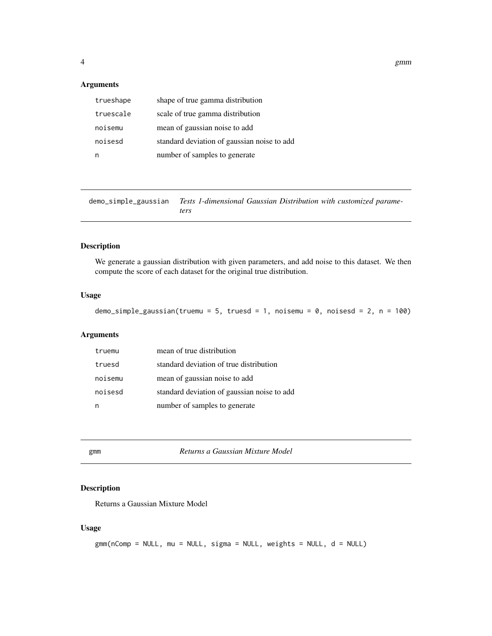#### <span id="page-3-0"></span>Arguments

| trueshape | shape of true gamma distribution            |
|-----------|---------------------------------------------|
| truescale | scale of true gamma distribution            |
| noisemu   | mean of gaussian noise to add               |
| noisesd   | standard deviation of gaussian noise to add |
|           | number of samples to generate               |

demo\_simple\_gaussian *Tests 1-dimensional Gaussian Distribution with customized parameters*

#### Description

We generate a gaussian distribution with given parameters, and add noise to this dataset. We then compute the score of each dataset for the original true distribution.

#### Usage

demo\_simple\_gaussian(truemu = 5, truesd = 1, noisemu = 0, noisesd = 2, n = 100)

#### Arguments

| truemu  | mean of true distribution                   |
|---------|---------------------------------------------|
| truesd  | standard deviation of true distribution     |
| noisemu | mean of gaussian noise to add               |
| noisesd | standard deviation of gaussian noise to add |
|         | number of samples to generate               |

 $Returns$  a Gaussian Mixture Model

#### Description

Returns a Gaussian Mixture Model

#### Usage

```
gmm(nComp = NULL, mu = NULL, sigma = NULL, weights = NULL, d = NULL)
```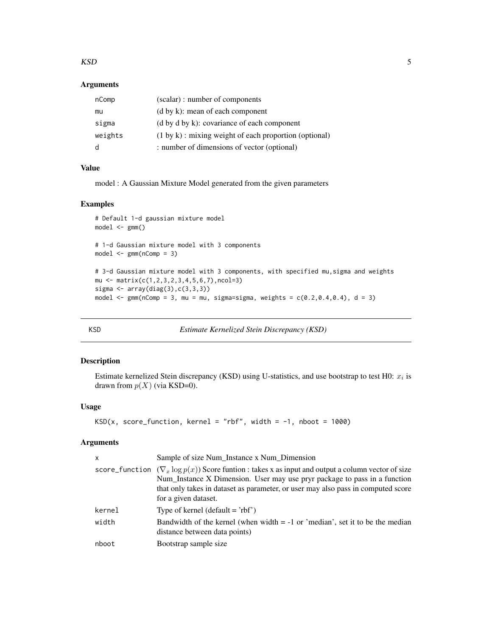#### <span id="page-4-0"></span> $KSD$  5

#### Arguments

| nComp   | (scalar) : number of components                                   |
|---------|-------------------------------------------------------------------|
| mu      | $(d \text{ by } k)$ : mean of each component                      |
| sigma   | $(d \text{ by } d \text{ by } k)$ : covariance of each component  |
| weights | $(1 \text{ by } k)$ : mixing weight of each proportion (optional) |
| d       | : number of dimensions of vector (optional)                       |

#### Value

model : A Gaussian Mixture Model generated from the given parameters

#### Examples

```
# Default 1-d gaussian mixture model
model \leq gmm()# 1-d Gaussian mixture model with 3 components
model \leq \text{gmm}(nComp = 3)# 3-d Gaussian mixture model with 3 components, with specified mu,sigma and weights
mu <- matrix(c(1,2,3,2,3,4,5,6,7),ncol=3)
sigma <- array(diag(3),c(3,3,3))
model \leq gmm(nComp = 3, mu = mu, sigma=sigma, weights = c(0.2, 0.4, 0.4), d = 3)
```
KSD *Estimate Kernelized Stein Discrepancy (KSD)*

#### Description

Estimate kernelized Stein discrepancy (KSD) using U-statistics, and use bootstrap to test H0:  $x_i$  is drawn from  $p(X)$  (via KSD=0).

#### Usage

KSD(x, score\_function, kernel = "rbf", width =  $-1$ , nboot = 1000)

#### Arguments

| X              | Sample of size Num_Instance x Num_Dimension                                                                                                                                                                                                                                         |
|----------------|-------------------------------------------------------------------------------------------------------------------------------------------------------------------------------------------------------------------------------------------------------------------------------------|
| score_function | $(\nabla_x \log p(x))$ Score funtion : takes x as input and output a column vector of size<br>Num_Instance X Dimension. User may use pryr package to pass in a function<br>that only takes in dataset as parameter, or user may also pass in computed score<br>for a given dataset. |
| kernel         | Type of kernel (default $=$ 'rbf')                                                                                                                                                                                                                                                  |
| width          | Bandwidth of the kernel (when width $= -1$ or 'median', set it to be the median<br>distance between data points)                                                                                                                                                                    |
| nboot          | Bootstrap sample size                                                                                                                                                                                                                                                               |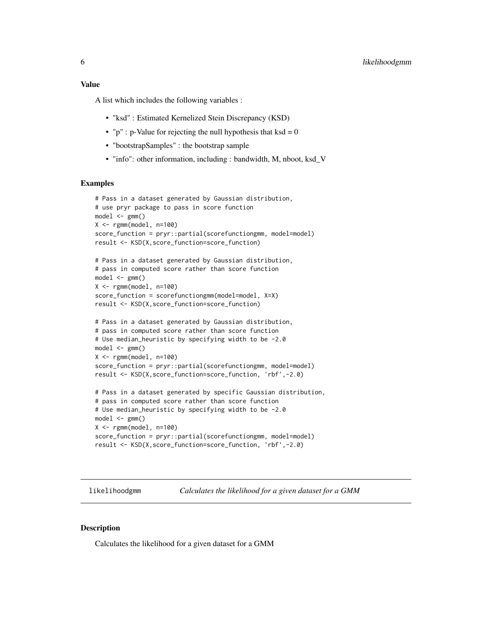#### <span id="page-5-0"></span>Value

A list which includes the following variables :

- "ksd" : Estimated Kernelized Stein Discrepancy (KSD)
- " $p$ " : p-Value for rejecting the null hypothesis that ksd = 0
- "bootstrapSamples" : the bootstrap sample
- "info": other information, including : bandwidth, M, nboot, ksd\_V

#### Examples

```
# Pass in a dataset generated by Gaussian distribution,
# use pryr package to pass in score function
model \leq gmm()X < - rgmm(model, n=100)
score_function = pryr::partial(scorefunctiongmm, model=model)
result <- KSD(X,score_function=score_function)
# Pass in a dataset generated by Gaussian distribution,
# pass in computed score rather than score function
model \leq \text{gmm}()X <- rgmm(model, n=100)
score_function = scorefunctiongmm(model=model, X=X)
result <- KSD(X,score_function=score_function)
# Pass in a dataset generated by Gaussian distribution,
# pass in computed score rather than score function
# Use median_heuristic by specifying width to be -2.0
model \leq \text{gmm}()X <- rgmm(model, n=100)
score_function = pryr::partial(scorefunctiongmm, model=model)
result <- KSD(X,score_function=score_function, 'rbf',-2.0)
# Pass in a dataset generated by specific Gaussian distribution,
# pass in computed score rather than score function
# Use median_heuristic by specifying width to be -2.0
model \leq gmm()X < - rgmm(model, n=100)
score_function = pryr::partial(scorefunctiongmm, model=model)
result <- KSD(X,score_function=score_function, 'rbf',-2.0)
```
likelihoodgmm *Calculates the likelihood for a given dataset for a GMM*

#### Description

Calculates the likelihood for a given dataset for a GMM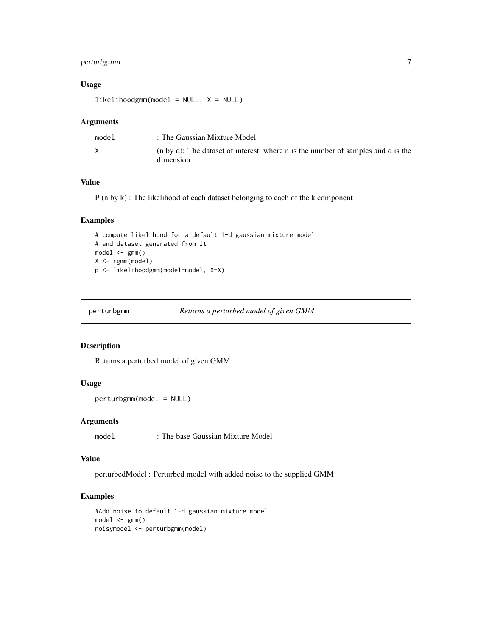#### <span id="page-6-0"></span>perturbgmm 7

#### Usage

 $likelihoodgmm(model = NULL, X = NULL)$ 

#### Arguments

| model | : The Gaussian Mixture Model                                                                  |
|-------|-----------------------------------------------------------------------------------------------|
| X     | (n by d): The dataset of interest, where n is the number of samples and d is the<br>dimension |

#### Value

P (n by k) : The likelihood of each dataset belonging to each of the k component

#### Examples

```
# compute likelihood for a default 1-d gaussian mixture model
# and dataset generated from it
model \leq gmm()X <- rgmm(model)
p <- likelihoodgmm(model=model, X=X)
```
perturbgmm *Returns a perturbed model of given GMM*

#### Description

Returns a perturbed model of given GMM

#### Usage

```
perturbgmm(model = NULL)
```
#### Arguments

model : The base Gaussian Mixture Model

#### Value

perturbedModel : Perturbed model with added noise to the supplied GMM

#### Examples

```
#Add noise to default 1-d gaussian mixture model
model \leq gmm()noisymodel <- perturbgmm(model)
```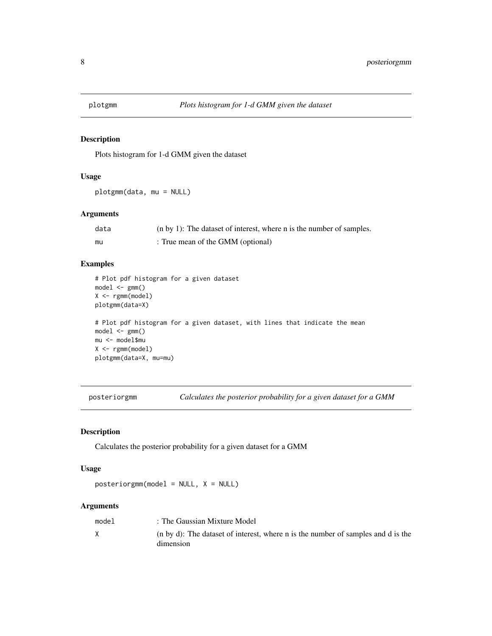<span id="page-7-0"></span>

#### Description

Plots histogram for 1-d GMM given the dataset

#### Usage

plotgmm(data, mu = NULL)

#### Arguments

| data | $(n by 1)$ : The dataset of interest, where n is the number of samples. |
|------|-------------------------------------------------------------------------|
| mu   | : True mean of the GMM (optional)                                       |

#### Examples

```
# Plot pdf histogram for a given dataset
model <- gmm()
X <- rgmm(model)
plotgmm(data=X)
# Plot pdf histogram for a given dataset, with lines that indicate the mean
model \leq \text{gmm}()mu <- model$mu
X <- rgmm(model)
plotgmm(data=X, mu=mu)
```
posteriorgmm *Calculates the posterior probability for a given dataset for a GMM*

#### Description

Calculates the posterior probability for a given dataset for a GMM

#### Usage

 $posteriorgmm(model = NULL, X = NULL)$ 

#### Arguments

| model | : The Gaussian Mixture Model                                                                  |
|-------|-----------------------------------------------------------------------------------------------|
|       | (n by d): The dataset of interest, where n is the number of samples and d is the<br>dimension |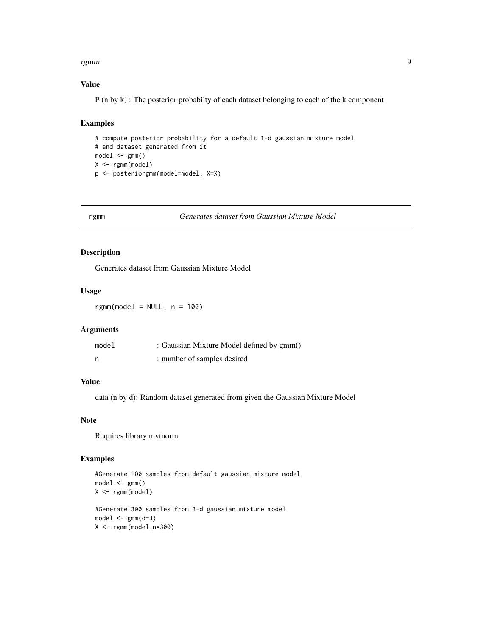#### <span id="page-8-0"></span>rgmm 9

#### Value

P (n by k) : The posterior probabilty of each dataset belonging to each of the k component

#### Examples

```
# compute posterior probability for a default 1-d gaussian mixture model
# and dataset generated from it
model \leq gmm()X <- rgmm(model)
p <- posteriorgmm(model=model, X=X)
```
rgmm *Generates dataset from Gaussian Mixture Model*

#### Description

Generates dataset from Gaussian Mixture Model

#### Usage

 $rgmm(model = NULL, n = 100)$ 

#### Arguments

| model | : Gaussian Mixture Model defined by gmm() |
|-------|-------------------------------------------|
| n     | : number of samples desired               |

#### Value

data (n by d): Random dataset generated from given the Gaussian Mixture Model

#### Note

Requires library mvtnorm

#### Examples

```
#Generate 100 samples from default gaussian mixture model
model \leq \text{gmm}()X <- rgmm(model)
#Generate 300 samples from 3-d gaussian mixture model
model \leq \text{gmm}(d=3)X < - rgmm(model, n=300)
```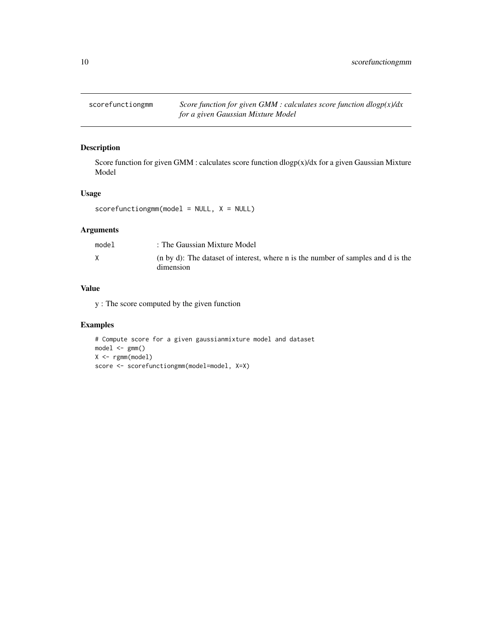<span id="page-9-0"></span>scorefunctiongmm *Score function for given GMM : calculates score function dlogp(x)/dx for a given Gaussian Mixture Model*

#### Description

Score function for given GMM : calculates score function dlogp(x)/dx for a given Gaussian Mixture Model

#### Usage

```
scorefunctiongmm(model = NULL, X = NULL)
```
#### Arguments

| model | : The Gaussian Mixture Model                                                                  |
|-------|-----------------------------------------------------------------------------------------------|
|       | (n by d): The dataset of interest, where n is the number of samples and d is the<br>dimension |

#### Value

y : The score computed by the given function

#### Examples

```
# Compute score for a given gaussianmixture model and dataset
model \leq gmm()X <- rgmm(model)
score <- scorefunctiongmm(model=model, X=X)
```